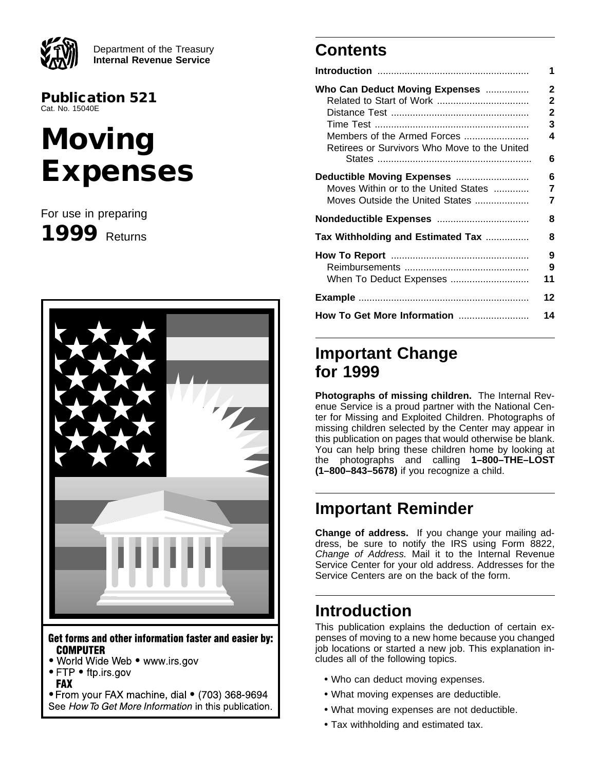

Department of the Treasury **Internal Revenue Service**

**Publication 521** Cat. No. 15040E

# **Moving Expenses**

For use in preparing **1999** Returns



Get forms and other information faster and easier by: **COMPUTER** 

- World Wide Web www.irs.gov
- FTP ftp irs gov

**FAX** 

• From your FAX machine, dial • (703) 368-9694 See How To Get More Information in this publication.

# **Contents**

|                                                                                                               | 1                                                               |
|---------------------------------------------------------------------------------------------------------------|-----------------------------------------------------------------|
| Who Can Deduct Moving Expenses<br>Members of the Armed Forces<br>Retirees or Survivors Who Move to the United | $\mathbf{2}$<br>$\overline{2}$<br>$\overline{2}$<br>3<br>4<br>6 |
| Deductible Moving Expenses<br>Moves Within or to the United States<br>Moves Outside the United States         | 6<br>7<br>$\overline{7}$                                        |
|                                                                                                               | 8                                                               |
| Tax Withholding and Estimated Tax                                                                             | 8                                                               |
| When To Deduct Expenses                                                                                       | 9<br>9<br>11                                                    |
|                                                                                                               | 12                                                              |
| How To Get More Information                                                                                   | 14                                                              |

# **Important Change for 1999**

**Photographs of missing children.** The Internal Revenue Service is a proud partner with the National Center for Missing and Exploited Children. Photographs of missing children selected by the Center may appear in this publication on pages that would otherwise be blank. You can help bring these children home by looking at the photographs and calling **1–800–THE–LOST (1–800–843–5678)** if you recognize a child.

# **Important Reminder**

**Change of address.** If you change your mailing address, be sure to notify the IRS using Form 8822, Change of Address. Mail it to the Internal Revenue Service Center for your old address. Addresses for the Service Centers are on the back of the form.

# **Introduction**

This publication explains the deduction of certain expenses of moving to a new home because you changed job locations or started a new job. This explanation includes all of the following topics.

- Who can deduct moving expenses.
- What moving expenses are deductible.
- What moving expenses are not deductible.
- Tax withholding and estimated tax.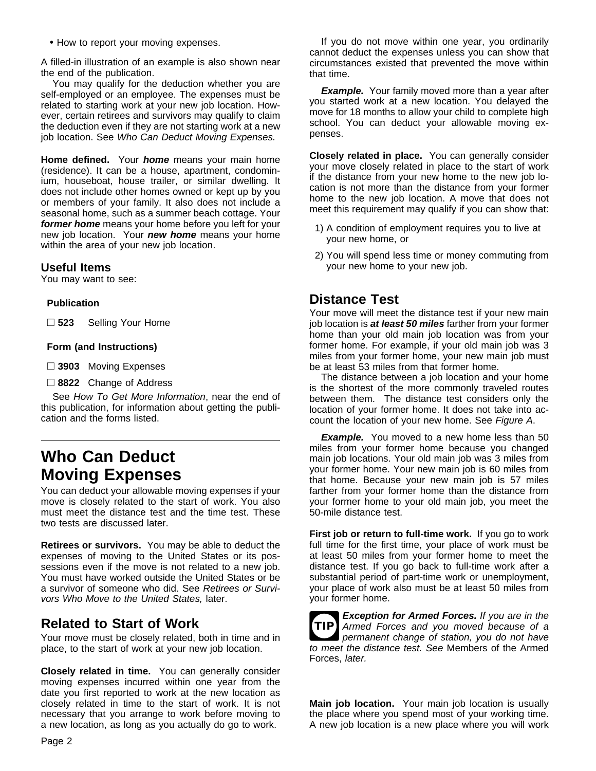• How to report your moving expenses.

A filled-in illustration of an example is also shown near the end of the publication.

You may qualify for the deduction whether you are self-employed or an employee. The expenses must be related to starting work at your new job location. However, certain retirees and survivors may qualify to claim the deduction even if they are not starting work at a new job location. See Who Can Deduct Moving Expenses.

**Home defined.** Your **home** means your main home (residence). It can be a house, apartment, condominium, houseboat, house trailer, or similar dwelling. It does not include other homes owned or kept up by you or members of your family. It also does not include a seasonal home, such as a summer beach cottage. Your **former home** means your home before you left for your new job location. Your **new home** means your home within the area of your new job location.

### **Useful Items**

You may want to see:

#### **Publication**

**523** Selling Your Home

#### **Form (and Instructions)**

 **3903** Moving Expenses

#### **8822** Change of Address

See How To Get More Information, near the end of this publication, for information about getting the publication and the forms listed.

## **Who Can Deduct Moving Expenses**

You can deduct your allowable moving expenses if your move is closely related to the start of work. You also must meet the distance test and the time test. These two tests are discussed later.

**Retirees or survivors.** You may be able to deduct the expenses of moving to the United States or its possessions even if the move is not related to a new job. You must have worked outside the United States or be a survivor of someone who did. See Retirees or Survivors Who Move to the United States, later.

### **Related to Start of Work**

Your move must be closely related, both in time and in place, to the start of work at your new job location.

**Closely related in time.** You can generally consider moving expenses incurred within one year from the date you first reported to work at the new location as closely related in time to the start of work. It is not necessary that you arrange to work before moving to a new location, as long as you actually do go to work.

If you do not move within one year, you ordinarily cannot deduct the expenses unless you can show that circumstances existed that prevented the move within that time.

**Example.** Your family moved more than a year after you started work at a new location. You delayed the move for 18 months to allow your child to complete high school. You can deduct your allowable moving expenses.

**Closely related in place.** You can generally consider your move closely related in place to the start of work if the distance from your new home to the new job location is not more than the distance from your former home to the new job location. A move that does not meet this requirement may qualify if you can show that:

- 1) A condition of employment requires you to live at your new home, or
- 2) You will spend less time or money commuting from your new home to your new job.

### **Distance Test**

Your move will meet the distance test if your new main job location is **at least 50 miles** farther from your former home than your old main job location was from your former home. For example, if your old main job was 3 miles from your former home, your new main job must be at least 53 miles from that former home.

The distance between a job location and your home is the shortest of the more commonly traveled routes between them. The distance test considers only the location of your former home. It does not take into account the location of your new home. See Figure A.

**Example.** You moved to a new home less than 50 miles from your former home because you changed main job locations. Your old main job was 3 miles from your former home. Your new main job is 60 miles from that home. Because your new main job is 57 miles farther from your former home than the distance from your former home to your old main job, you meet the 50-mile distance test.

**First job or return to full-time work.** If you go to work full time for the first time, your place of work must be at least 50 miles from your former home to meet the distance test. If you go back to full-time work after a substantial period of part-time work or unemployment, your place of work also must be at least 50 miles from your former home.



**TIP** Armed Forces and you moved because of a **Exception for Armed Forces.** If you are in the **Example 1** permanent change of station, you do not have to meet the distance test. See Members of the Armed Forces, later.

**Main job location.** Your main job location is usually the place where you spend most of your working time. A new job location is a new place where you will work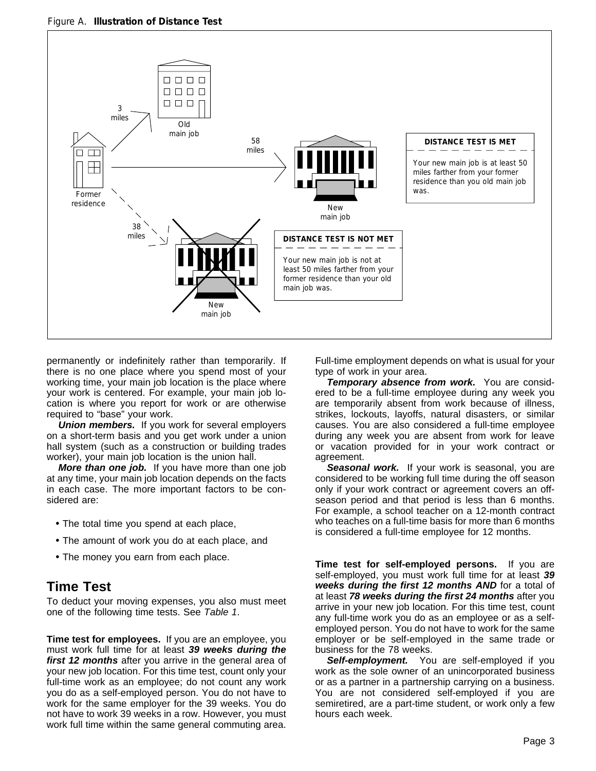

permanently or indefinitely rather than temporarily. If there is no one place where you spend most of your working time, your main job location is the place where your work is centered. For example, your main job location is where you report for work or are otherwise required to "base" your work.

**Union members.** If you work for several employers on a short-term basis and you get work under a union hall system (such as a construction or building trades worker), your main job location is the union hall.

**More than one job.** If you have more than one job at any time, your main job location depends on the facts in each case. The more important factors to be considered are:

- The total time you spend at each place,
- The amount of work you do at each place, and
- The money you earn from each place.

### **Time Test**

To deduct your moving expenses, you also must meet one of the following time tests. See Table 1.

**Time test for employees.** If you are an employee, you must work full time for at least **39 weeks during the first 12 months** after you arrive in the general area of your new job location. For this time test, count only your full-time work as an employee; do not count any work you do as a self-employed person. You do not have to work for the same employer for the 39 weeks. You do not have to work 39 weeks in a row. However, you must work full time within the same general commuting area.

Full-time employment depends on what is usual for your type of work in your area.

**Temporary absence from work.** You are considered to be a full-time employee during any week you are temporarily absent from work because of illness, strikes, lockouts, layoffs, natural disasters, or similar causes. You are also considered a full-time employee during any week you are absent from work for leave or vacation provided for in your work contract or agreement.

Seasonal work. If your work is seasonal, you are considered to be working full time during the off season only if your work contract or agreement covers an offseason period and that period is less than 6 months. For example, a school teacher on a 12-month contract who teaches on a full-time basis for more than 6 months is considered a full-time employee for 12 months.

**Time test for self-employed persons.** If you are self-employed, you must work full time for at least **39 weeks during the first 12 months AND** for a total of at least **78 weeks during the first 24 months** after you arrive in your new job location. For this time test, count any full-time work you do as an employee or as a selfemployed person. You do not have to work for the same employer or be self-employed in the same trade or business for the 78 weeks.

**Self-employment.** You are self-employed if you work as the sole owner of an unincorporated business or as a partner in a partnership carrying on a business. You are not considered self-employed if you are semiretired, are a part-time student, or work only a few hours each week.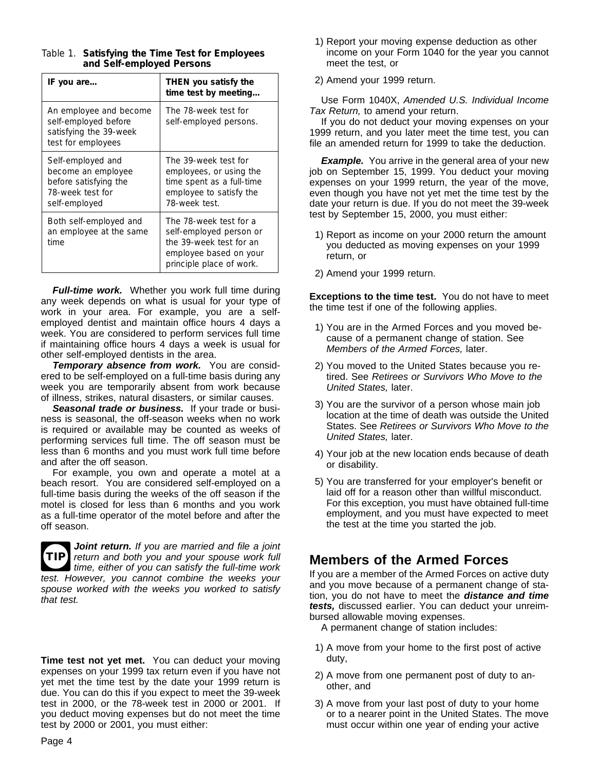| IF you are                                                                                            | THEN you satisfy the<br>time test by meeting                                                                                       |
|-------------------------------------------------------------------------------------------------------|------------------------------------------------------------------------------------------------------------------------------------|
| An employee and become<br>self-employed before<br>satisfying the 39-week<br>test for employees        | The 78-week test for<br>self-employed persons.                                                                                     |
| Self-employed and<br>become an employee<br>before satisfying the<br>78-week test for<br>self-employed | The 39-week test for<br>employees, or using the<br>time spent as a full-time<br>employee to satisfy the<br>78-week test.           |
| Both self-employed and<br>an employee at the same<br>time                                             | The 78-week test for a<br>self-employed person or<br>the 39-week test for an<br>employee based on your<br>principle place of work. |

#### Table 1. **Satisfying the Time Test for Employees and Self-employed Persons**

**Full-time work.** Whether you work full time during any week depends on what is usual for your type of work in your area. For example, you are a selfemployed dentist and maintain office hours 4 days a week. You are considered to perform services full time if maintaining office hours 4 days a week is usual for other self-employed dentists in the area.

**Temporary absence from work.** You are considered to be self-employed on a full-time basis during any week you are temporarily absent from work because of illness, strikes, natural disasters, or similar causes.

**Seasonal trade or business.** If your trade or business is seasonal, the off-season weeks when no work is required or available may be counted as weeks of performing services full time. The off season must be less than 6 months and you must work full time before and after the off season.

For example, you own and operate a motel at a beach resort. You are considered self-employed on a full-time basis during the weeks of the off season if the motel is closed for less than 6 months and you work as a full-time operator of the motel before and after the off season.

**TIP Joint return.** If you are married and file a joint return and both you and your spouse work full I time, either of you can satisfy the full-time work test. However, you cannot combine the weeks your spouse worked with the weeks you worked to satisfy that test.

**Time test not yet met.** You can deduct your moving expenses on your 1999 tax return even if you have not yet met the time test by the date your 1999 return is due. You can do this if you expect to meet the 39-week test in 2000, or the 78-week test in 2000 or 2001. If you deduct moving expenses but do not meet the time test by 2000 or 2001, you must either:

- 1) Report your moving expense deduction as other income on your Form 1040 for the year you cannot meet the test, or
- 2) Amend your 1999 return.

Use Form 1040X, Amended U.S. Individual Income Tax Return, to amend your return.

If you do not deduct your moving expenses on your 1999 return, and you later meet the time test, you can file an amended return for 1999 to take the deduction.

**Example.** You arrive in the general area of your new job on September 15, 1999. You deduct your moving expenses on your 1999 return, the year of the move, even though you have not yet met the time test by the date your return is due. If you do not meet the 39-week test by September 15, 2000, you must either:

- 1) Report as income on your 2000 return the amount you deducted as moving expenses on your 1999 return, or
- 2) Amend your 1999 return.

**Exceptions to the time test.** You do not have to meet the time test if one of the following applies.

- 1) You are in the Armed Forces and you moved because of a permanent change of station. See Members of the Armed Forces, later.
- 2) You moved to the United States because you retired. See Retirees or Survivors Who Move to the United States, later.
- 3) You are the survivor of a person whose main job location at the time of death was outside the United States. See Retirees or Survivors Who Move to the United States, later.
- 4) Your job at the new location ends because of death or disability.
- 5) You are transferred for your employer's benefit or laid off for a reason other than willful misconduct. For this exception, you must have obtained full-time employment, and you must have expected to meet the test at the time you started the job.

### **Members of the Armed Forces**

If you are a member of the Armed Forces on active duty and you move because of a permanent change of station, you do not have to meet the **distance and time tests,** discussed earlier. You can deduct your unreimbursed allowable moving expenses.

A permanent change of station includes:

- 1) A move from your home to the first post of active duty,
- 2) A move from one permanent post of duty to another, and
- 3) A move from your last post of duty to your home or to a nearer point in the United States. The move must occur within one year of ending your active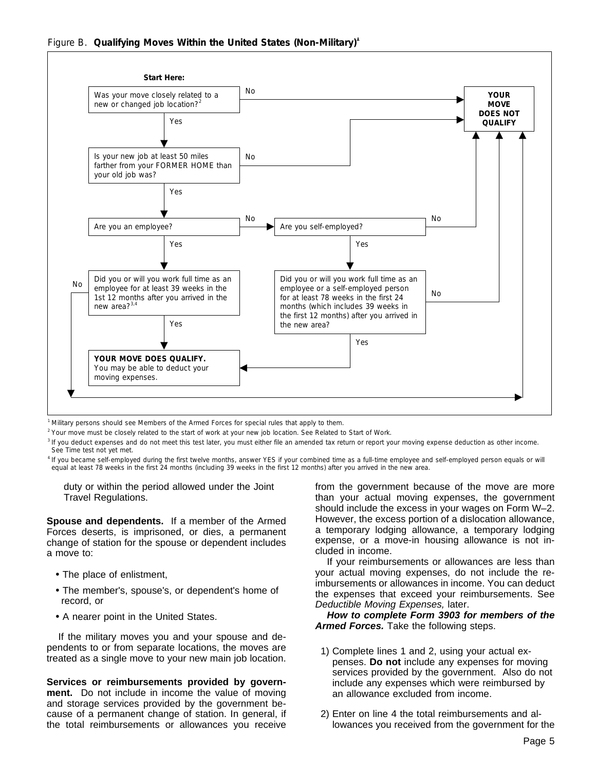

<sup>1</sup> Military persons should see *Members of the Armed Forces* for special rules that apply to them.

<sup>2</sup> Your move must be closely related to the start of work at your new job location. See *Related to Start of Work.*

<sup>3</sup> If you deduct expenses and do not meet this test later, you must either file an amended tax return or report your moving expense deduction as other income. See *Time test not yet met.*

<sup>4</sup> If you became self-employed during the first twelve months, answer YES if your combined time as a full-time employee and self-employed person equals or will equal at least 78 weeks in the first 24 months (including 39 weeks in the first 12 months) after you arrived in the new area.

duty or within the period allowed under the Joint Travel Regulations.

**Spouse and dependents.** If a member of the Armed Forces deserts, is imprisoned, or dies, a permanent change of station for the spouse or dependent includes a move to:

- The place of enlistment,
- The member's, spouse's, or dependent's home of record, or
- A nearer point in the United States.

If the military moves you and your spouse and dependents to or from separate locations, the moves are treated as a single move to your new main job location.

**Services or reimbursements provided by government.** Do not include in income the value of moving and storage services provided by the government because of a permanent change of station. In general, if the total reimbursements or allowances you receive

from the government because of the move are more than your actual moving expenses, the government should include the excess in your wages on Form W–2. However, the excess portion of a dislocation allowance, a temporary lodging allowance, a temporary lodging expense, or a move-in housing allowance is not included in income.

If your reimbursements or allowances are less than your actual moving expenses, do not include the reimbursements or allowances in income. You can deduct the expenses that exceed your reimbursements. See Deductible Moving Expenses, later.

**How to complete Form 3903 for members of the Armed Forces.** Take the following steps.

- 1) Complete lines 1 and 2, using your actual expenses. **Do not** include any expenses for moving services provided by the government. Also do not include any expenses which were reimbursed by an allowance excluded from income.
- 2) Enter on line 4 the total reimbursements and allowances you received from the government for the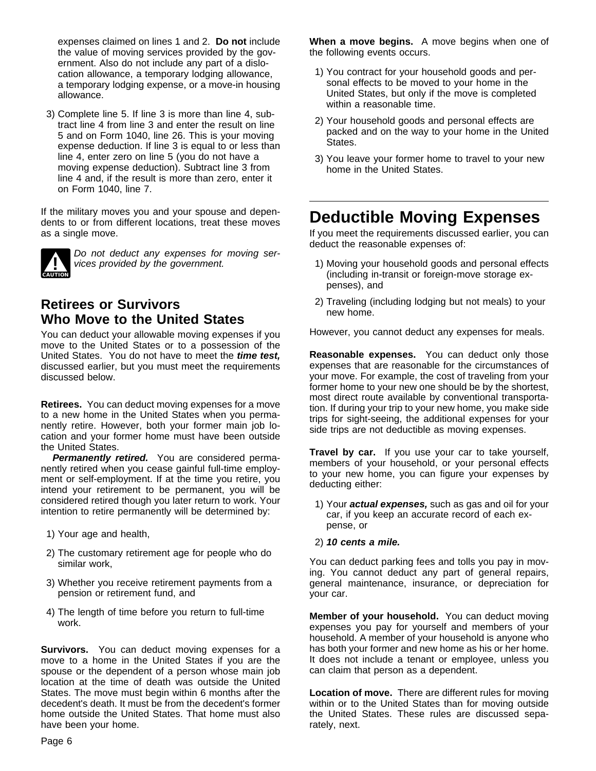expenses claimed on lines 1 and 2. **Do not** include the value of moving services provided by the government. Also do not include any part of a dislocation allowance, a temporary lodging allowance, a temporary lodging expense, or a move-in housing allowance.

3) Complete line 5. If line 3 is more than line 4, subtract line 4 from line 3 and enter the result on line 5 and on Form 1040, line 26. This is your moving expense deduction. If line 3 is equal to or less than line 4, enter zero on line 5 (you do not have a moving expense deduction). Subtract line 3 from line 4 and, if the result is more than zero, enter it on Form 1040, line 7.

If the military moves you and your spouse and dependents to or from different locations, treat these moves as a single move.



**!** Do not deduct any expenses for moving services provided by the government.

### **Retirees or Survivors Who Move to the United States**

You can deduct your allowable moving expenses if you move to the United States or to a possession of the United States. You do not have to meet the **time test,** discussed earlier, but you must meet the requirements discussed below.

**Retirees.** You can deduct moving expenses for a move to a new home in the United States when you permanently retire. However, both your former main job location and your former home must have been outside the United States.

**Permanently retired.** You are considered permanently retired when you cease gainful full-time employment or self-employment. If at the time you retire, you intend your retirement to be permanent, you will be considered retired though you later return to work. Your intention to retire permanently will be determined by:

- 1) Your age and health,
- 2) The customary retirement age for people who do similar work,
- 3) Whether you receive retirement payments from a pension or retirement fund, and
- 4) The length of time before you return to full-time work.

**Survivors.** You can deduct moving expenses for a move to a home in the United States if you are the spouse or the dependent of a person whose main job location at the time of death was outside the United States. The move must begin within 6 months after the decedent's death. It must be from the decedent's former home outside the United States. That home must also have been your home.

**When a move begins.** A move begins when one of the following events occurs.

- 1) You contract for your household goods and personal effects to be moved to your home in the United States, but only if the move is completed within a reasonable time.
- 2) Your household goods and personal effects are packed and on the way to your home in the United **States**
- 3) You leave your former home to travel to your new home in the United States.

# **Deductible Moving Expenses**

If you meet the requirements discussed earlier, you can deduct the reasonable expenses of:

- 1) Moving your household goods and personal effects (including in-transit or foreign-move storage expenses), and
- 2) Traveling (including lodging but not meals) to your new home.

However, you cannot deduct any expenses for meals.

**Reasonable expenses.** You can deduct only those expenses that are reasonable for the circumstances of your move. For example, the cost of traveling from your former home to your new one should be by the shortest, most direct route available by conventional transportation. If during your trip to your new home, you make side trips for sight-seeing, the additional expenses for your side trips are not deductible as moving expenses.

**Travel by car.** If you use your car to take yourself, members of your household, or your personal effects to your new home, you can figure your expenses by deducting either:

- 1) Your **actual expenses,** such as gas and oil for your car, if you keep an accurate record of each expense, or
- 2) **10 cents a mile.**

You can deduct parking fees and tolls you pay in moving. You cannot deduct any part of general repairs, general maintenance, insurance, or depreciation for your car.

**Member of your household.** You can deduct moving expenses you pay for yourself and members of your household. A member of your household is anyone who has both your former and new home as his or her home. It does not include a tenant or employee, unless you can claim that person as a dependent.

**Location of move.** There are different rules for moving within or to the United States than for moving outside the United States. These rules are discussed separately, next.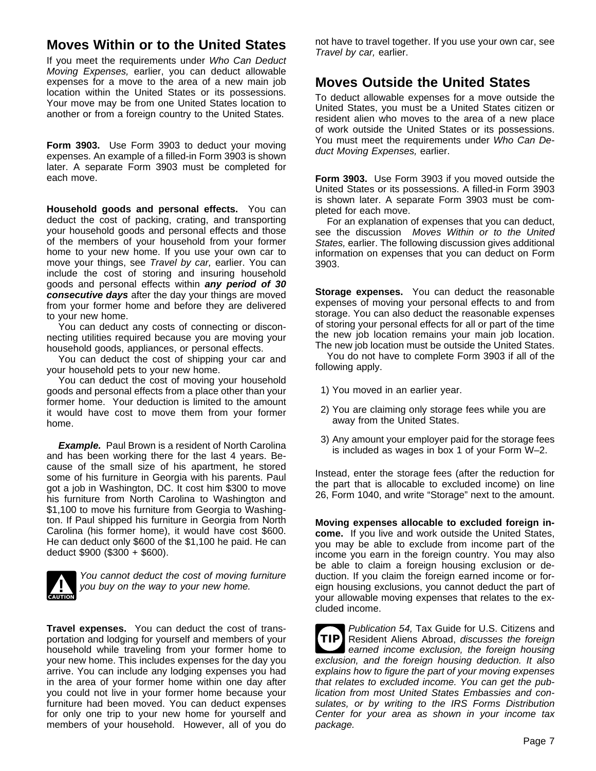### **Moves Within or to the United States**

If you meet the requirements under Who Can Deduct Moving Expenses, earlier, you can deduct allowable expenses for a move to the area of a new main job location within the United States or its possessions. Your move may be from one United States location to another or from a foreign country to the United States.

**Form 3903.** Use Form 3903 to deduct your moving expenses. An example of a filled-in Form 3903 is shown later. A separate Form 3903 must be completed for each move.

**Household goods and personal effects.** You can deduct the cost of packing, crating, and transporting your household goods and personal effects and those of the members of your household from your former home to your new home. If you use your own car to move your things, see Travel by car, earlier. You can include the cost of storing and insuring household goods and personal effects within **any period of 30 consecutive days** after the day your things are moved from your former home and before they are delivered to your new home.

You can deduct any costs of connecting or disconnecting utilities required because you are moving your household goods, appliances, or personal effects.

You can deduct the cost of shipping your car and your household pets to your new home.

You can deduct the cost of moving your household goods and personal effects from a place other than your former home. Your deduction is limited to the amount it would have cost to move them from your former home.

**Example.** Paul Brown is a resident of North Carolina and has been working there for the last 4 years. Because of the small size of his apartment, he stored some of his furniture in Georgia with his parents. Paul got a job in Washington, DC. It cost him \$300 to move his furniture from North Carolina to Washington and \$1,100 to move his furniture from Georgia to Washington. If Paul shipped his furniture in Georgia from North Carolina (his former home), it would have cost \$600. He can deduct only \$600 of the \$1,100 he paid. He can deduct \$900 (\$300 + \$600).



You cannot deduct the cost of moving furniture<br>you buy on the way to your new home.

**Travel expenses.** You can deduct the cost of transportation and lodging for yourself and members of your household while traveling from your former home to your new home. This includes expenses for the day you arrive. You can include any lodging expenses you had in the area of your former home within one day after you could not live in your former home because your furniture had been moved. You can deduct expenses for only one trip to your new home for yourself and members of your household. However, all of you do not have to travel together. If you use your own car, see Travel by car, earlier.

### **Moves Outside the United States**

To deduct allowable expenses for a move outside the United States, you must be a United States citizen or resident alien who moves to the area of a new place of work outside the United States or its possessions. You must meet the requirements under Who Can Deduct Moving Expenses, earlier.

**Form 3903.** Use Form 3903 if you moved outside the United States or its possessions. A filled-in Form 3903 is shown later. A separate Form 3903 must be completed for each move.

For an explanation of expenses that you can deduct, see the discussion Moves Within or to the United States, earlier. The following discussion gives additional information on expenses that you can deduct on Form 3903.

**Storage expenses.** You can deduct the reasonable expenses of moving your personal effects to and from storage. You can also deduct the reasonable expenses of storing your personal effects for all or part of the time the new job location remains your main job location. The new job location must be outside the United States.

You do not have to complete Form 3903 if all of the following apply.

- 1) You moved in an earlier year.
- 2) You are claiming only storage fees while you are away from the United States.
- 3) Any amount your employer paid for the storage fees is included as wages in box 1 of your Form W–2.

Instead, enter the storage fees (after the reduction for the part that is allocable to excluded income) on line 26, Form 1040, and write "Storage" next to the amount.

**Moving expenses allocable to excluded foreign income.** If you live and work outside the United States, you may be able to exclude from income part of the income you earn in the foreign country. You may also be able to claim a foreign housing exclusion or deduction. If you claim the foreign earned income or foreign housing exclusions, you cannot deduct the part of your allowable moving expenses that relates to the excluded income.

**TIP** Publication 54, Tax Guide for U.S. Citizens and Resident Aliens Abroad, discusses the foreign earned income exclusion, the foreign housing exclusion, and the foreign housing deduction. It also explains how to figure the part of your moving expenses that relates to excluded income. You can get the publication from most United States Embassies and consulates, or by writing to the IRS Forms Distribution Center for your area as shown in your income tax package.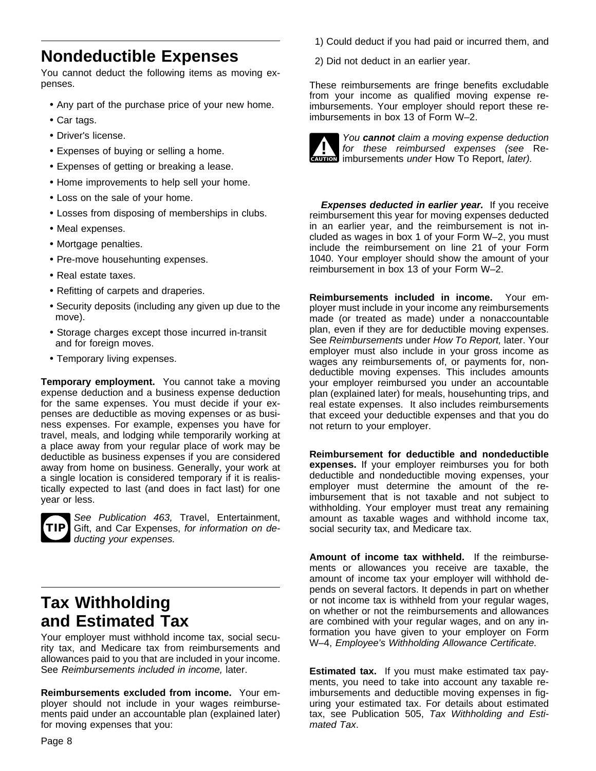# **Nondeductible Expenses**

You cannot deduct the following items as moving expenses.

- Any part of the purchase price of your new home.
- Car tags.
- Driver's license.
- Expenses of buying or selling a home.
- Expenses of getting or breaking a lease.
- Home improvements to help sell your home.
- Loss on the sale of your home.
- Losses from disposing of memberships in clubs.
- Meal expenses.
- Mortgage penalties.
- Pre-move househunting expenses.
- Real estate taxes.
- Refitting of carpets and draperies.
- Security deposits (including any given up due to the move).
- Storage charges except those incurred in-transit and for foreign moves.
- Temporary living expenses.

**Temporary employment.** You cannot take a moving expense deduction and a business expense deduction for the same expenses. You must decide if your expenses are deductible as moving expenses or as business expenses. For example, expenses you have for travel, meals, and lodging while temporarily working at a place away from your regular place of work may be deductible as business expenses if you are considered away from home on business. Generally, your work at a single location is considered temporary if it is realistically expected to last (and does in fact last) for one year or less.

**TIP**

See Publication 463, Travel, Entertainment, Gift, and Car Expenses, for information on deducting your expenses.

# **Tax Withholding and Estimated Tax**

Your employer must withhold income tax, social security tax, and Medicare tax from reimbursements and allowances paid to you that are included in your income. See Reimbursements included in income, later.

**Reimbursements excluded from income.** Your employer should not include in your wages reimbursements paid under an accountable plan (explained later) for moving expenses that you:

- 1) Could deduct if you had paid or incurred them, and
- 2) Did not deduct in an earlier year.

These reimbursements are fringe benefits excludable from your income as qualified moving expense reimbursements. Your employer should report these reimbursements in box 13 of Form W–2.



for these reimbursed expenses (see<br> **EAUTION** imbursements under How To Report, later). You **cannot** claim a moving expense deduction for these reimbursed expenses (see Re-

**Expenses deducted in earlier year.** If you receive reimbursement this year for moving expenses deducted in an earlier year, and the reimbursement is not included as wages in box 1 of your Form W–2, you must include the reimbursement on line 21 of your Form 1040. Your employer should show the amount of your reimbursement in box 13 of your Form W–2.

**Reimbursements included in income.** Your employer must include in your income any reimbursements made (or treated as made) under a nonaccountable plan, even if they are for deductible moving expenses. See Reimbursements under How To Report, later. Your employer must also include in your gross income as wages any reimbursements of, or payments for, nondeductible moving expenses. This includes amounts your employer reimbursed you under an accountable plan (explained later) for meals, househunting trips, and real estate expenses. It also includes reimbursements that exceed your deductible expenses and that you do not return to your employer.

**Reimbursement for deductible and nondeductible expenses.** If your employer reimburses you for both deductible and nondeductible moving expenses, your employer must determine the amount of the reimbursement that is not taxable and not subject to withholding. Your employer must treat any remaining amount as taxable wages and withhold income tax, social security tax, and Medicare tax.

**Amount of income tax withheld.** If the reimbursements or allowances you receive are taxable, the amount of income tax your employer will withhold depends on several factors. It depends in part on whether or not income tax is withheld from your regular wages, on whether or not the reimbursements and allowances are combined with your regular wages, and on any information you have given to your employer on Form W–4, Employee's Withholding Allowance Certificate.

**Estimated tax.** If you must make estimated tax payments, you need to take into account any taxable reimbursements and deductible moving expenses in figuring your estimated tax. For details about estimated tax, see Publication 505, Tax Withholding and Estimated Tax.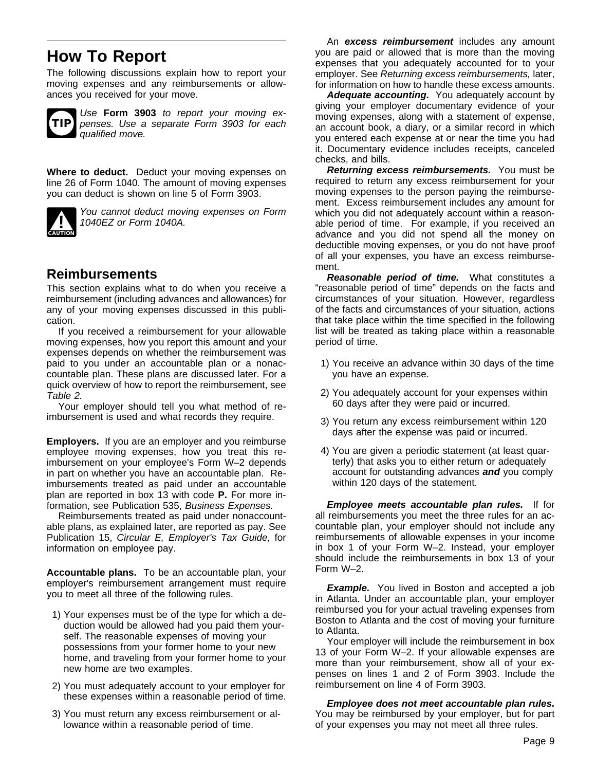# **How To Report**

The following discussions explain how to report your moving expenses and any reimbursements or allowances you received for your move.



Use **Form 3903** to report your moving expenses. Use a separate Form 3903 for each qualified move.

**Where to deduct.** Deduct your moving expenses on line 26 of Form 1040. The amount of moving expenses you can deduct is shown on line 5 of Form 3903.



**!** You cannot deduct moving expenses on Form 1040EZ or Form 1040A.

### **Reimbursements**

This section explains what to do when you receive a reimbursement (including advances and allowances) for any of your moving expenses discussed in this publication.

If you received a reimbursement for your allowable moving expenses, how you report this amount and your expenses depends on whether the reimbursement was paid to you under an accountable plan or a nonaccountable plan. These plans are discussed later. For a quick overview of how to report the reimbursement, see Table 2.

Your employer should tell you what method of reimbursement is used and what records they require.

**Employers.** If you are an employer and you reimburse employee moving expenses, how you treat this reimbursement on your employee's Form W–2 depends in part on whether you have an accountable plan. Reimbursements treated as paid under an accountable plan are reported in box 13 with code **P.** For more information, see Publication 535, Business Expenses.

Reimbursements treated as paid under nonaccountable plans, as explained later, are reported as pay. See Publication 15, Circular E, Employer's Tax Guide, for information on employee pay.

**Accountable plans.** To be an accountable plan, your employer's reimbursement arrangement must require you to meet all three of the following rules.

- 1) Your expenses must be of the type for which a deduction would be allowed had you paid them yourself. The reasonable expenses of moving your possessions from your former home to your new home, and traveling from your former home to your new home are two examples.
- 2) You must adequately account to your employer for these expenses within a reasonable period of time.
- 3) You must return any excess reimbursement or allowance within a reasonable period of time.

An **excess reimbursement** includes any amount you are paid or allowed that is more than the moving expenses that you adequately accounted for to your employer. See Returning excess reimbursements, later, for information on how to handle these excess amounts.

**Adequate accounting.** You adequately account by giving your employer documentary evidence of your moving expenses, along with a statement of expense, an account book, a diary, or a similar record in which you entered each expense at or near the time you had it. Documentary evidence includes receipts, canceled checks, and bills.

**Returning excess reimbursements.** You must be required to return any excess reimbursement for your moving expenses to the person paying the reimbursement. Excess reimbursement includes any amount for which you did not adequately account within a reasonable period of time. For example, if you received an advance and you did not spend all the money on deductible moving expenses, or you do not have proof of all your expenses, you have an excess reimbursement.

**Reasonable period of time.** What constitutes a "reasonable period of time" depends on the facts and circumstances of your situation. However, regardless of the facts and circumstances of your situation, actions that take place within the time specified in the following list will be treated as taking place within a reasonable period of time.

- 1) You receive an advance within 30 days of the time you have an expense.
- 2) You adequately account for your expenses within 60 days after they were paid or incurred.
- 3) You return any excess reimbursement within 120 days after the expense was paid or incurred.
- 4) You are given a periodic statement (at least quarterly) that asks you to either return or adequately account for outstanding advances **and** you comply within 120 days of the statement.

**Employee meets accountable plan rules.** If for all reimbursements you meet the three rules for an accountable plan, your employer should not include any reimbursements of allowable expenses in your income in box 1 of your Form W–2. Instead, your employer should include the reimbursements in box 13 of your Form W–2.

**Example.** You lived in Boston and accepted a job in Atlanta. Under an accountable plan, your employer reimbursed you for your actual traveling expenses from Boston to Atlanta and the cost of moving your furniture to Atlanta.

Your employer will include the reimbursement in box 13 of your Form W–2. If your allowable expenses are more than your reimbursement, show all of your expenses on lines 1 and 2 of Form 3903. Include the reimbursement on line 4 of Form 3903.

**Employee does not meet accountable plan rules.** You may be reimbursed by your employer, but for part of your expenses you may not meet all three rules.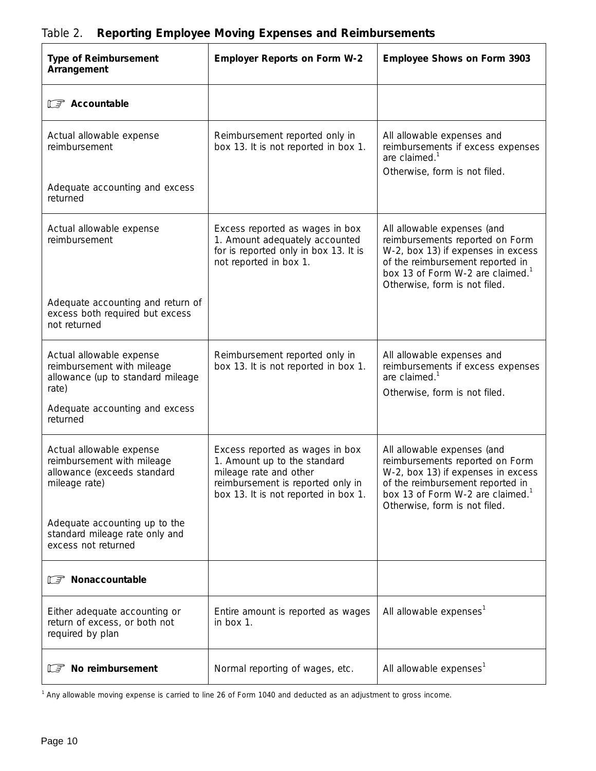### Table 2. **Reporting Employee Moving Expenses and Reimbursements**

| <b>Type of Reimbursement</b><br>Arrangement                                                                                                                                                      | <b>Employer Reports on Form W-2</b>                                                                                                                                    | <b>Employee Shows on Form 3903</b>                                                                                                                                                                                        |
|--------------------------------------------------------------------------------------------------------------------------------------------------------------------------------------------------|------------------------------------------------------------------------------------------------------------------------------------------------------------------------|---------------------------------------------------------------------------------------------------------------------------------------------------------------------------------------------------------------------------|
| <b>IF</b> Accountable                                                                                                                                                                            |                                                                                                                                                                        |                                                                                                                                                                                                                           |
| Actual allowable expense<br>reimbursement<br>Adequate accounting and excess<br>returned                                                                                                          | Reimbursement reported only in<br>box 13. It is not reported in box 1.                                                                                                 | All allowable expenses and<br>reimbursements if excess expenses<br>are claimed. $1$<br>Otherwise, form is not filed.                                                                                                      |
| Actual allowable expense<br>reimbursement<br>Adequate accounting and return of<br>excess both required but excess<br>not returned                                                                | Excess reported as wages in box<br>1. Amount adequately accounted<br>for is reported only in box 13. It is<br>not reported in box 1.                                   | All allowable expenses (and<br>reimbursements reported on Form<br>W-2, box 13) if expenses in excess<br>of the reimbursement reported in<br>box 13 of Form W-2 are claimed. <sup>1</sup><br>Otherwise, form is not filed. |
| Actual allowable expense<br>reimbursement with mileage<br>allowance (up to standard mileage<br>rate)<br>Adequate accounting and excess<br>returned                                               | Reimbursement reported only in<br>box 13. It is not reported in box 1.                                                                                                 | All allowable expenses and<br>reimbursements if excess expenses<br>are claimed. $1$<br>Otherwise, form is not filed.                                                                                                      |
| Actual allowable expense<br>reimbursement with mileage<br>allowance (exceeds standard<br>mileage rate)<br>Adequate accounting up to the<br>standard mileage rate only and<br>excess not returned | Excess reported as wages in box<br>1. Amount up to the standard<br>mileage rate and other<br>reimbursement is reported only in<br>box 13. It is not reported in box 1. | All allowable expenses (and<br>reimbursements reported on Form<br>W-2, box 13) if expenses in excess<br>of the reimbursement reported in<br>box 13 of Form W-2 are claimed. <sup>1</sup><br>Otherwise, form is not filed. |
| <b>IF</b> Nonaccountable                                                                                                                                                                         |                                                                                                                                                                        |                                                                                                                                                                                                                           |
| Either adequate accounting or<br>return of excess, or both not<br>required by plan                                                                                                               | Entire amount is reported as wages<br>in box 1.                                                                                                                        | All allowable expenses <sup>1</sup>                                                                                                                                                                                       |
| No reimbursement<br>エヨ                                                                                                                                                                           | Normal reporting of wages, etc.                                                                                                                                        | All allowable expenses                                                                                                                                                                                                    |

 $1$  Any allowable moving expense is carried to line 26 of Form 1040 and deducted as an adjustment to gross income.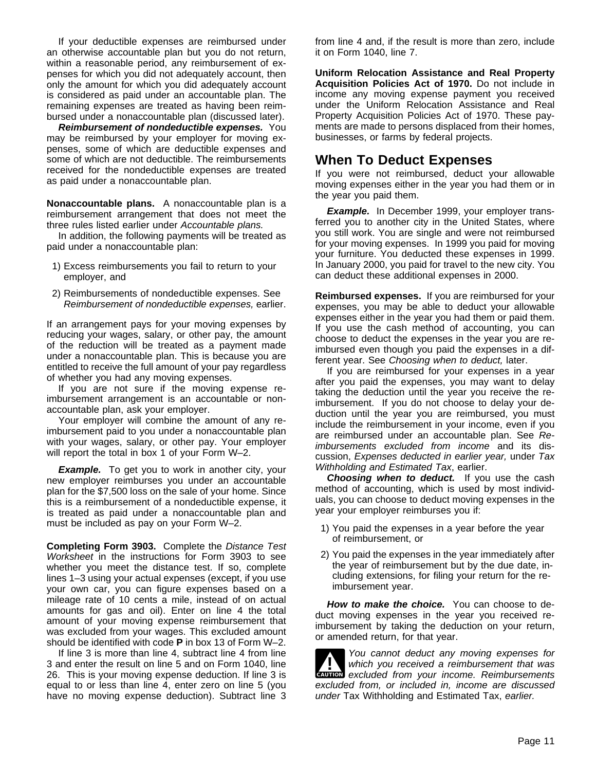If your deductible expenses are reimbursed under an otherwise accountable plan but you do not return, within a reasonable period, any reimbursement of expenses for which you did not adequately account, then only the amount for which you did adequately account is considered as paid under an accountable plan. The remaining expenses are treated as having been reimbursed under a nonaccountable plan (discussed later).

**Reimbursement of nondeductible expenses.** You may be reimbursed by your employer for moving expenses, some of which are deductible expenses and some of which are not deductible. The reimbursements received for the nondeductible expenses are treated as paid under a nonaccountable plan.

**Nonaccountable plans.** A nonaccountable plan is a reimbursement arrangement that does not meet the three rules listed earlier under Accountable plans.

In addition, the following payments will be treated as paid under a nonaccountable plan:

- 1) Excess reimbursements you fail to return to your employer, and
- 2) Reimbursements of nondeductible expenses. See Reimbursement of nondeductible expenses, earlier.

If an arrangement pays for your moving expenses by reducing your wages, salary, or other pay, the amount of the reduction will be treated as a payment made under a nonaccountable plan. This is because you are entitled to receive the full amount of your pay regardless of whether you had any moving expenses.

If you are not sure if the moving expense reimbursement arrangement is an accountable or nonaccountable plan, ask your employer.

Your employer will combine the amount of any reimbursement paid to you under a nonaccountable plan with your wages, salary, or other pay. Your employer will report the total in box 1 of your Form W–2.

**Example.** To get you to work in another city, your new employer reimburses you under an accountable plan for the \$7,500 loss on the sale of your home. Since this is a reimbursement of a nondeductible expense, it is treated as paid under a nonaccountable plan and must be included as pay on your Form W–2.

**Completing Form 3903.** Complete the Distance Test Worksheet in the instructions for Form 3903 to see whether you meet the distance test. If so, complete lines 1–3 using your actual expenses (except, if you use your own car, you can figure expenses based on a mileage rate of 10 cents a mile, instead of on actual amounts for gas and oil). Enter on line 4 the total amount of your moving expense reimbursement that was excluded from your wages. This excluded amount should be identified with code **P** in box 13 of Form W–2.

If line 3 is more than line 4, subtract line 4 from line 3 and enter the result on line 5 and on Form 1040, line 26. This is your moving expense deduction. If line 3 is equal to or less than line 4, enter zero on line 5 (you have no moving expense deduction). Subtract line 3 from line 4 and, if the result is more than zero, include it on Form 1040, line 7.

**Uniform Relocation Assistance and Real Property Acquisition Policies Act of 1970.** Do not include in income any moving expense payment you received under the Uniform Relocation Assistance and Real Property Acquisition Policies Act of 1970. These payments are made to persons displaced from their homes, businesses, or farms by federal projects.

### **When To Deduct Expenses**

If you were not reimbursed, deduct your allowable moving expenses either in the year you had them or in the year you paid them.

**Example.** In December 1999, your employer transferred you to another city in the United States, where you still work. You are single and were not reimbursed for your moving expenses. In 1999 you paid for moving your furniture. You deducted these expenses in 1999. In January 2000, you paid for travel to the new city. You can deduct these additional expenses in 2000.

**Reimbursed expenses.** If you are reimbursed for your expenses, you may be able to deduct your allowable expenses either in the year you had them or paid them. If you use the cash method of accounting, you can choose to deduct the expenses in the year you are reimbursed even though you paid the expenses in a different year. See Choosing when to deduct, later.

If you are reimbursed for your expenses in a year after you paid the expenses, you may want to delay taking the deduction until the year you receive the reimbursement. If you do not choose to delay your deduction until the year you are reimbursed, you must include the reimbursement in your income, even if you are reimbursed under an accountable plan. See Reimbursements excluded from income and its discussion, Expenses deducted in earlier year, under Tax Withholding and Estimated Tax, earlier.

**Choosing when to deduct.** If you use the cash method of accounting, which is used by most individuals, you can choose to deduct moving expenses in the year your employer reimburses you if:

- 1) You paid the expenses in a year before the year of reimbursement, or
- 2) You paid the expenses in the year immediately after the year of reimbursement but by the due date, including extensions, for filing your return for the reimbursement year.

**How to make the choice.** You can choose to deduct moving expenses in the year you received reimbursement by taking the deduction on your return, or amended return, for that year.

**CAUTION** excluded from your income. Reimbursements **!** You cannot deduct any moving expenses for which you received a reimbursement that was excluded from, or included in, income are discussed under Tax Withholding and Estimated Tax, earlier.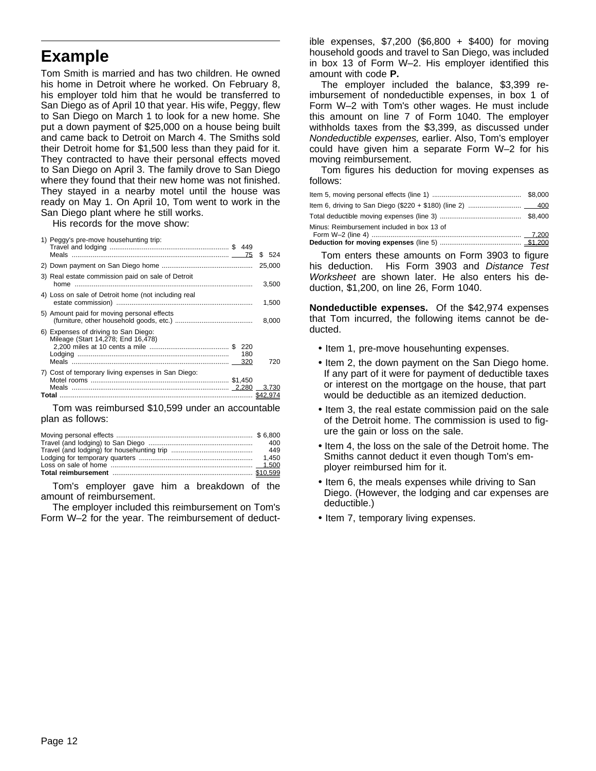# **Example**

Tom Smith is married and has two children. He owned his home in Detroit where he worked. On February 8, his employer told him that he would be transferred to San Diego as of April 10 that year. His wife, Peggy, flew to San Diego on March 1 to look for a new home. She put a down payment of \$25,000 on a house being built and came back to Detroit on March 4. The Smiths sold their Detroit home for \$1,500 less than they paid for it. They contracted to have their personal effects moved to San Diego on April 3. The family drove to San Diego where they found that their new home was not finished. They stayed in a nearby motel until the house was ready on May 1. On April 10, Tom went to work in the San Diego plant where he still works.

His records for the move show:

| 1) Peggy's pre-move househunting trip:                                     |        |                                                                                                                 |
|----------------------------------------------------------------------------|--------|-----------------------------------------------------------------------------------------------------------------|
|                                                                            | \$ 524 | Tom enters these amounts on Form 3903 to figure                                                                 |
|                                                                            |        | his deduction. His Form 3903 and Distance Test                                                                  |
| 3) Real estate commission paid on sale of Detroit                          | 3,500  | Worksheet are shown later. He also enters his de-<br>duction, \$1,200, on line 26, Form 1040.                   |
| 4) Loss on sale of Detroit home (not including real                        | 1,500  |                                                                                                                 |
| 5) Amount paid for moving personal effects                                 | 8.000  | <b>Nondeductible expenses.</b> Of the \$42,974 expenses<br>that Tom incurred, the following items cannot be de- |
| 6) Expenses of driving to San Diego:<br>Mileage (Start 14,278; End 16,478) |        | ducted.                                                                                                         |
|                                                                            |        | • Item 1, pre-move househunting expenses.                                                                       |
|                                                                            | 720    | • Item 2, the down payment on the San Diego home.                                                               |
| 7) Cost of temporary living expenses in San Diego:                         |        | If any part of it were for payment of deductible taxes<br>or interest on the mortgage on the house, that part   |
|                                                                            |        | would be deductible as an itemized deduction.                                                                   |

Tom was reimbursed \$10,599 under an accountable plan as follows:

| 400 |
|-----|
|     |
|     |
|     |
|     |
|     |

Tom's employer gave him a breakdown of the amount of reimbursement.

The employer included this reimbursement on Tom's Form W–2 for the year. The reimbursement of deductible expenses, \$7,200 (\$6,800 + \$400) for moving household goods and travel to San Diego, was included in box 13 of Form W–2. His employer identified this amount with code **P.**

The employer included the balance, \$3,399 reimbursement of nondeductible expenses, in box 1 of Form W–2 with Tom's other wages. He must include this amount on line 7 of Form 1040. The employer withholds taxes from the \$3,399, as discussed under Nondeductible expenses, earlier. Also, Tom's employer could have given him a separate Form W–2 for his moving reimbursement.

Tom figures his deduction for moving expenses as follows:

| Minus: Reimbursement included in box 13 of |  |
|--------------------------------------------|--|
|                                            |  |
|                                            |  |

- Item 1, pre-move househunting expenses.
- Item 2, the down payment on the San Diego home. If any part of it were for payment of deductible taxes or interest on the mortgage on the house, that part would be deductible as an itemized deduction.
- Item 3, the real estate commission paid on the sale of the Detroit home. The commission is used to figure the gain or loss on the sale.
- Item 4, the loss on the sale of the Detroit home. The Smiths cannot deduct it even though Tom's employer reimbursed him for it.
- Item 6, the meals expenses while driving to San Diego. (However, the lodging and car expenses are deductible.)
- Item 7, temporary living expenses.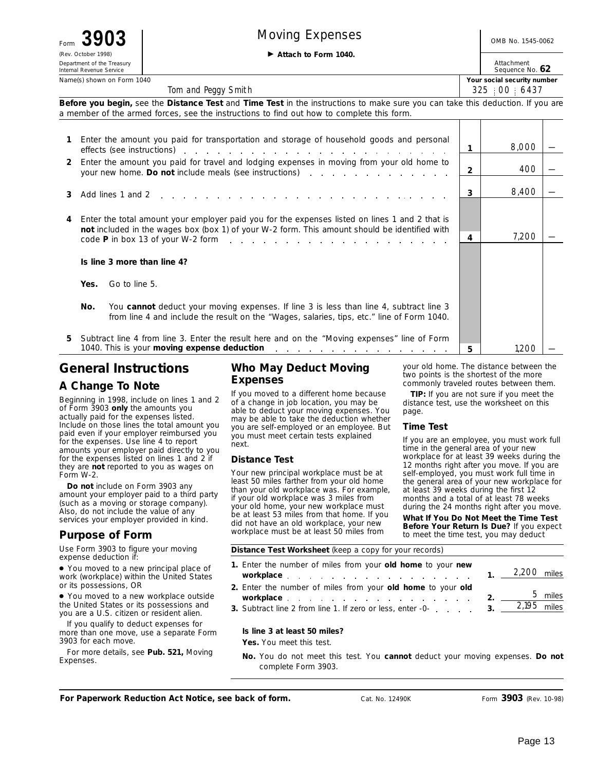| $\boldsymbol{\mathcal{A}}$<br>Form |
|------------------------------------|
| (Rev. October 1998)                |
| Department of the Treasury         |
| Internal Revenue Service           |

# Form  $3903$  | Moving Expenses | OMB No. 1545-0062

**Attach to Form 1040.**

Attachment Sequence No. **62**

| Name(s) shown on Form 1040 | Your social security number |
|----------------------------|-----------------------------|
| Tom and Peggy Smith        | 325:00:6437                 |

Tom and Peggy Smith

**Before you begin,** see the **Distance Test** and **Time Test** in the instructions to make sure you can take this deduction. If you are a member of the armed forces, see the instructions to find out how to complete this form.

|    | Enter the amount you paid for transportation and storage of household goods and personal                                                                                                                                                                                                                                    |                | 8,000 |  |
|----|-----------------------------------------------------------------------------------------------------------------------------------------------------------------------------------------------------------------------------------------------------------------------------------------------------------------------------|----------------|-------|--|
| 2  | Enter the amount you paid for travel and lodging expenses in moving from your old home to<br>your new home. Do not include meals (see instructions) results and set of the set of the set of the set of the set of the set of the set of the set of the set of the set of the set of the set of the set of the set of the s | $\overline{2}$ | 400   |  |
| 3  | and the contract of the contract of the contract of the contract of the contract of the contract of the contract of the contract of the contract of the contract of the contract of the contract of the contract of the contra<br>Add lines 1 and 2                                                                         | 3              | 8,400 |  |
| 4  | Enter the total amount your employer paid you for the expenses listed on lines 1 and 2 that is<br>not included in the wages box (box 1) of your W-2 form. This amount should be identified with                                                                                                                             |                | 7,200 |  |
|    | Is line 3 more than line 4?                                                                                                                                                                                                                                                                                                 |                |       |  |
|    | Go to line 5.<br>Yes.                                                                                                                                                                                                                                                                                                       |                |       |  |
|    | You cannot deduct your moving expenses. If line 3 is less than line 4, subtract line 3<br>No.<br>from line 4 and include the result on the "Wages, salaries, tips, etc." line of Form 1040.                                                                                                                                 |                |       |  |
| 5. | Subtract line 4 from line 3. Enter the result here and on the "Moving expenses" line of Form<br>1040. This is your moving expense deduction and a subset of the state of the state of the state of the state of                                                                                                             | 5.             | -200  |  |

### **General Instructions**

#### **A Change To Note**

Beginning in 1998, include on lines 1 and 2 of Form 3903 **only** the amounts you actually paid for the expenses listed. Include on those lines the total amount you paid even if your employer reimbursed you for the expenses. Use line 4 to report amounts your employer paid directly to you for the expenses listed on lines 1 and 2 if they are **not** reported to you as wages on Form W-2.

**Do not** include on Form 3903 any amount your employer paid to a third party (such as a moving or storage company). Also, do not include the value of any services your employer provided in kind.

### **Purpose of Form**

Use Form 3903 to figure your moving expense deduction if:

● You moved to a new principal place of work (workplace) within the United States or its possessions, OR

● You moved to a new workplace outside the United States or its possessions and you are a U.S. citizen or resident alien.

If you qualify to deduct expenses for more than one move, use a separate Form 3903 for each move.

For more details, see **Pub. 521,** Moving Expenses.

### **Who May Deduct Moving Expenses**

If you moved to a different home because of a change in job location, you may be able to deduct your moving expenses. You may be able to take the deduction whether you are self-employed or an employee. But you must meet certain tests explained next.

#### **Distance Test**

Your new principal workplace must be at least 50 miles farther from your old home than your old workplace was. For example, if your old workplace was 3 miles from your old home, your new workplace must be at least 53 miles from that home. If you did not have an old workplace, your new workplace must be at least 50 miles from

your old home. The distance between the two points is the shortest of the more commonly traveled routes between them.

**TIP:** *If you are not sure if you meet the distance test, use the worksheet on this page.*

#### **Time Test**

If you are an employee, you must work full time in the general area of your new workplace for at least 39 weeks during the 12 months right after you move. If you are self-employed, you must work full time in the general area of your new workplace for at least 39 weeks during the first 12 months and a total of at least 78 weeks during the 24 months right after you move.

**What If You Do Not Meet the Time Test Before Your Return Is Due?** If you expect to meet the time test, you may deduct

#### **Distance Test Worksheet** (keep a copy for your records)

| 1. Enter the number of miles from your old home to your new<br><b>workplace</b> 1. $2,200$ miles             |  |  |
|--------------------------------------------------------------------------------------------------------------|--|--|
| 2. Enter the number of miles from your old home to your old                                                  |  |  |
| workplace 2. $\frac{5 \text{ miles}}{2}$                                                                     |  |  |
| 3. Subtract line 2 from line 1. If zero or less, enter -0- $\ldots$ $\ldots$ 3. $\frac{2.195}{\ldots}$ miles |  |  |

#### **Is line 3 at least 50 miles?**

**Yes.** You meet this test.

**No.** You do not meet this test. You **cannot** deduct your moving expenses. **Do not** complete Form 3903.

**For Paperwork Reduction Act Notice, see back of form.** Cat. No. 12490K Form 3903 (Rev. 10-98)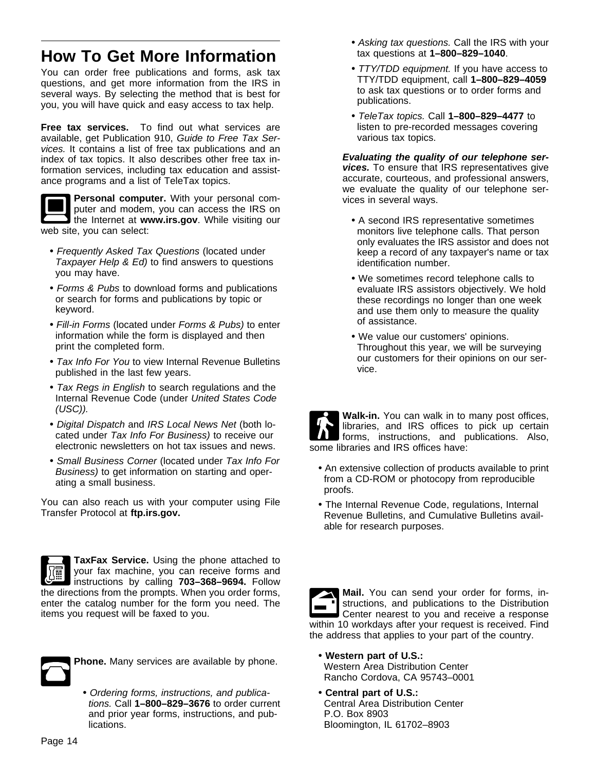# **How To Get More Information**

You can order free publications and forms, ask tax questions, and get more information from the IRS in several ways. By selecting the method that is best for you, you will have quick and easy access to tax help.

**Free tax services.** To find out what services are available, get Publication 910, Guide to Free Tax Services. It contains a list of free tax publications and an index of tax topics. It also describes other free tax information services, including tax education and assistance programs and a list of TeleTax topics.



**Personal computer.** With your personal computer and modem, you can access the IRS on the Internet at **www.irs.gov**. While visiting our web site, you can select:

- Frequently Asked Tax Questions (located under Taxpayer Help & Ed) to find answers to questions you may have.
- Forms & Pubs to download forms and publications or search for forms and publications by topic or keyword.
- Fill-in Forms (located under Forms & Pubs) to enter information while the form is displayed and then print the completed form.
- Tax Info For You to view Internal Revenue Bulletins published in the last few years.
- Tax Regs in English to search regulations and the Internal Revenue Code (under United States Code (USC)).
- Digital Dispatch and IRS Local News Net (both located under Tax Info For Business) to receive our electronic newsletters on hot tax issues and news.
- Small Business Corner (located under Tax Info For Business) to get information on starting and operating a small business.

You can also reach us with your computer using File Transfer Protocol at **ftp.irs.gov.**

**TaxFax Service.** Using the phone attached to your fax machine, you can receive forms and instructions by calling **703–368–9694.** Follow the directions from the prompts. When you order forms, enter the catalog number for the form you need. The items you request will be faxed to you.



**Phone.** Many services are available by phone.

• Ordering forms, instructions, and publications. Call **1–800–829–3676** to order current and prior year forms, instructions, and publications.

- Asking tax questions. Call the IRS with your tax questions at **1–800–829–1040**.
- TTY/TDD equipment. If you have access to TTY/TDD equipment, call **1–800–829–4059** to ask tax questions or to order forms and publications.
- TeleTax topics. Call **1–800–829–4477** to listen to pre-recorded messages covering various tax topics.

**Evaluating the quality of our telephone services.** To ensure that IRS representatives give accurate, courteous, and professional answers, we evaluate the quality of our telephone services in several ways.

- A second IRS representative sometimes monitors live telephone calls. That person only evaluates the IRS assistor and does not keep a record of any taxpayer's name or tax identification number.
- We sometimes record telephone calls to evaluate IRS assistors objectively. We hold these recordings no longer than one week and use them only to measure the quality of assistance.
- We value our customers' opinions. Throughout this year, we will be surveying our customers for their opinions on our service.

**Walk-in.** You can walk in to many post offices, libraries, and IRS offices to pick up certain forms, instructions, and publications. Also, some libraries and IRS offices have:

- An extensive collection of products available to print from a CD-ROM or photocopy from reproducible proofs.
- The Internal Revenue Code, regulations, Internal Revenue Bulletins, and Cumulative Bulletins available for research purposes.

**Mail.** You can send your order for forms, instructions, and publications to the Distribution Center nearest to you and receive a response within 10 workdays after your request is received. Find the address that applies to your part of the country.

- **Western part of U.S.:** Western Area Distribution Center Rancho Cordova, CA 95743–0001
- **Central part of U.S.:** Central Area Distribution Center P.O. Box 8903 Bloomington, IL 61702–8903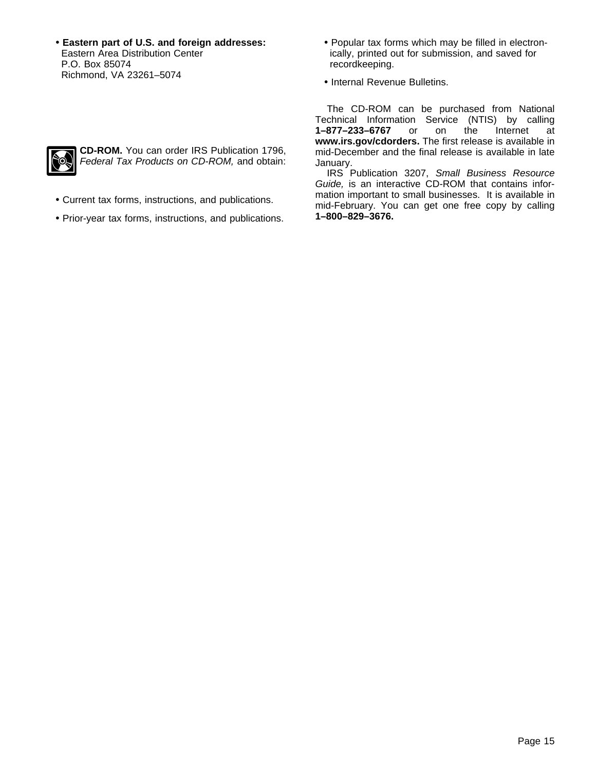- **Eastern part of U.S. and foreign addresses:** Eastern Area Distribution Center P.O. Box 85074 Richmond, VA 23261–5074
- Popular tax forms which may be filled in electronically, printed out for submission, and saved for recordkeeping.
- Internal Revenue Bulletins.

The CD-ROM can be purchased from National Technical Information Service (NTIS) by calling **1–877–233–6767** or on the Internet at **www.irs.gov/cdorders.** The first release is available in mid-December and the final release is available in late January.

IRS Publication 3207, Small Business Resource Guide, is an interactive CD-ROM that contains information important to small businesses. It is available in mid-February. You can get one free copy by calling **1–800–829–3676.** 



**CD-ROM.** You can order IRS Publication 1796, Federal Tax Products on CD-ROM, and obtain:

- Current tax forms, instructions, and publications.
- Prior-year tax forms, instructions, and publications.